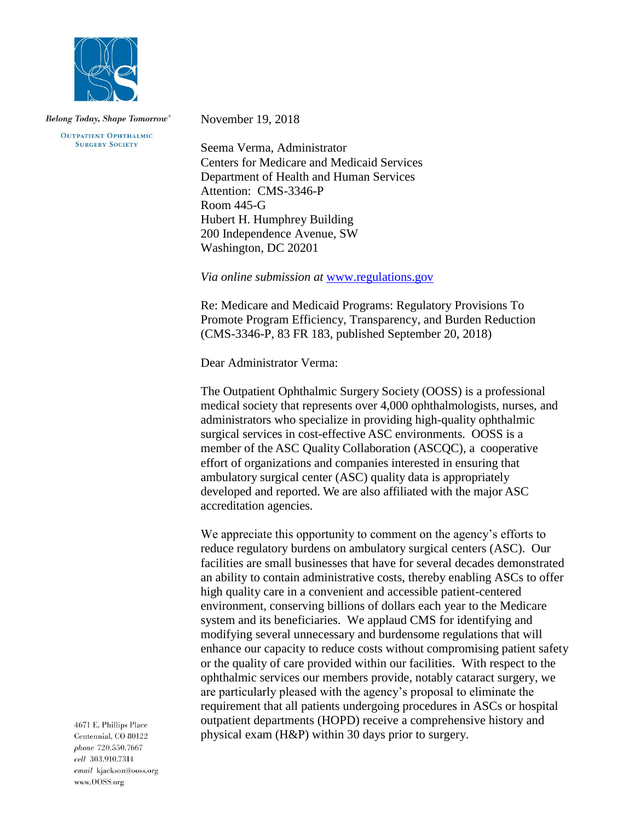

**OUTPATIENT OPHTHALMIC SURGERY SOCIETY** 

November 19, 2018

Seema Verma, Administrator Centers for Medicare and Medicaid Services Department of Health and Human Services Attention: CMS-3346-P Room 445-G Hubert H. Humphrey Building 200 Independence Avenue, SW Washington, DC 20201

*Via online submission at* [www.regulations.gov](http://www.regulations.gov/)

Re: Medicare and Medicaid Programs: Regulatory Provisions To Promote Program Efficiency, Transparency, and Burden Reduction (CMS-3346-P, 83 FR 183, published September 20, 2018)

Dear Administrator Verma:

The Outpatient Ophthalmic Surgery Society (OOSS) is a professional medical society that represents over 4,000 ophthalmologists, nurses, and administrators who specialize in providing high-quality ophthalmic surgical services in cost-effective ASC environments. OOSS is a member of the ASC Quality Collaboration (ASCQC), a cooperative effort of organizations and companies interested in ensuring that ambulatory surgical center (ASC) quality data is appropriately developed and reported. We are also affiliated with the major ASC accreditation agencies.

We appreciate this opportunity to comment on the agency's efforts to reduce regulatory burdens on ambulatory surgical centers (ASC). Our facilities are small businesses that have for several decades demonstrated an ability to contain administrative costs, thereby enabling ASCs to offer high quality care in a convenient and accessible patient-centered environment, conserving billions of dollars each year to the Medicare system and its beneficiaries. We applaud CMS for identifying and modifying several unnecessary and burdensome regulations that will enhance our capacity to reduce costs without compromising patient safety or the quality of care provided within our facilities. With respect to the ophthalmic services our members provide, notably cataract surgery, we are particularly pleased with the agency's proposal to eliminate the requirement that all patients undergoing procedures in ASCs or hospital outpatient departments (HOPD) receive a comprehensive history and physical exam (H&P) within 30 days prior to surgery.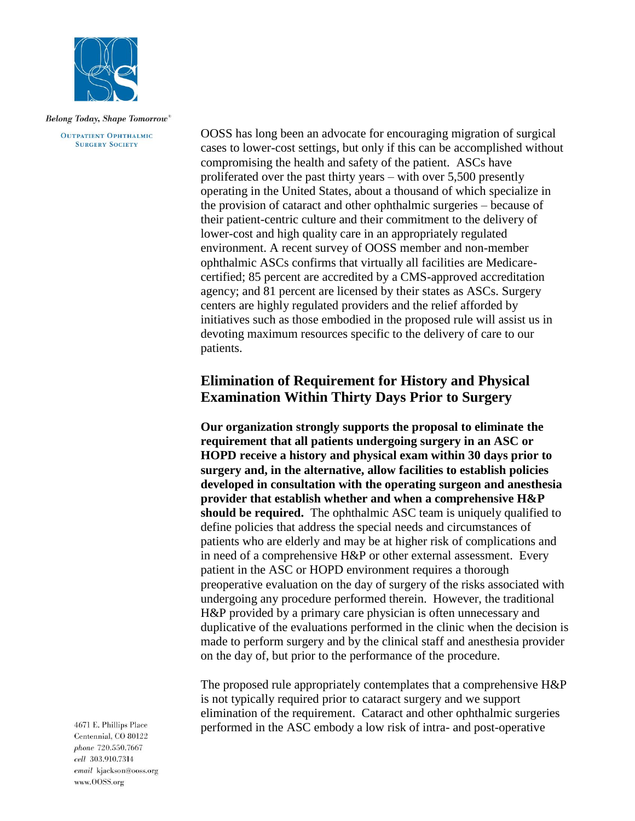

**OUTPATIENT OPHTHALMIC SURGERY SOCIETY** 

OOSS has long been an advocate for encouraging migration of surgical cases to lower-cost settings, but only if this can be accomplished without compromising the health and safety of the patient. ASCs have proliferated over the past thirty years – with over 5,500 presently operating in the United States, about a thousand of which specialize in the provision of cataract and other ophthalmic surgeries – because of their patient-centric culture and their commitment to the delivery of lower-cost and high quality care in an appropriately regulated environment. A recent survey of OOSS member and non-member ophthalmic ASCs confirms that virtually all facilities are Medicarecertified; 85 percent are accredited by a CMS-approved accreditation agency; and 81 percent are licensed by their states as ASCs. Surgery centers are highly regulated providers and the relief afforded by initiatives such as those embodied in the proposed rule will assist us in devoting maximum resources specific to the delivery of care to our patients.

# **Elimination of Requirement for History and Physical Examination Within Thirty Days Prior to Surgery**

**Our organization strongly supports the proposal to eliminate the requirement that all patients undergoing surgery in an ASC or HOPD receive a history and physical exam within 30 days prior to surgery and, in the alternative, allow facilities to establish policies developed in consultation with the operating surgeon and anesthesia provider that establish whether and when a comprehensive H&P should be required.** The ophthalmic ASC team is uniquely qualified to define policies that address the special needs and circumstances of patients who are elderly and may be at higher risk of complications and in need of a comprehensive H&P or other external assessment. Every patient in the ASC or HOPD environment requires a thorough preoperative evaluation on the day of surgery of the risks associated with undergoing any procedure performed therein. However, the traditional H&P provided by a primary care physician is often unnecessary and duplicative of the evaluations performed in the clinic when the decision is made to perform surgery and by the clinical staff and anesthesia provider on the day of, but prior to the performance of the procedure.

The proposed rule appropriately contemplates that a comprehensive H&P is not typically required prior to cataract surgery and we support elimination of the requirement. Cataract and other ophthalmic surgeries performed in the ASC embody a low risk of intra- and post-operative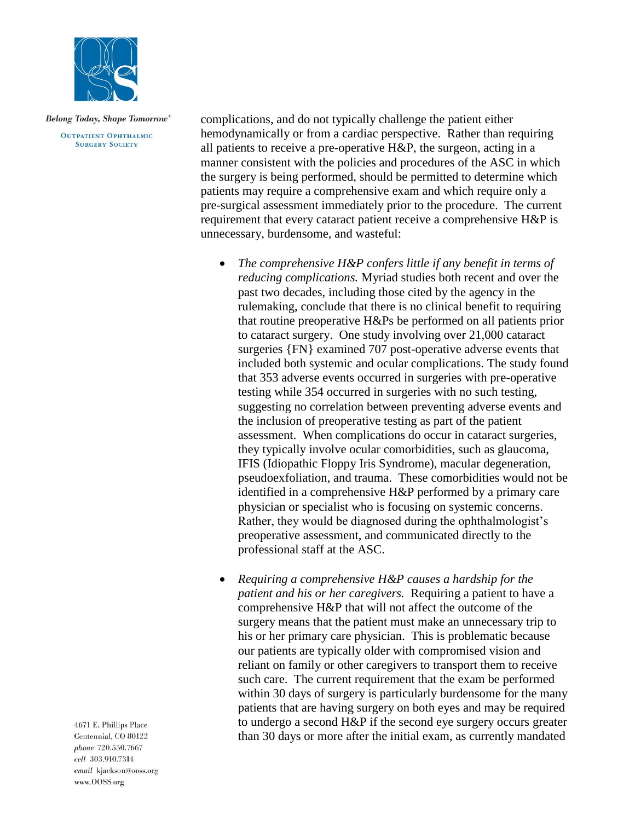

**OUTPATIENT OPHTHALMIC SURGERY SOCIETY** 

complications, and do not typically challenge the patient either hemodynamically or from a cardiac perspective. Rather than requiring all patients to receive a pre-operative H&P, the surgeon, acting in a manner consistent with the policies and procedures of the ASC in which the surgery is being performed, should be permitted to determine which patients may require a comprehensive exam and which require only a pre-surgical assessment immediately prior to the procedure. The current requirement that every cataract patient receive a comprehensive H&P is unnecessary, burdensome, and wasteful:

- *The comprehensive H&P confers little if any benefit in terms of reducing complications.* Myriad studies both recent and over the past two decades, including those cited by the agency in the rulemaking, conclude that there is no clinical benefit to requiring that routine preoperative H&Ps be performed on all patients prior to cataract surgery. One study involving over 21,000 cataract surgeries {FN} examined 707 post-operative adverse events that included both systemic and ocular complications. The study found that 353 adverse events occurred in surgeries with pre-operative testing while 354 occurred in surgeries with no such testing, suggesting no correlation between preventing adverse events and the inclusion of preoperative testing as part of the patient assessment. When complications do occur in cataract surgeries, they typically involve ocular comorbidities, such as glaucoma, IFIS (Idiopathic Floppy Iris Syndrome), macular degeneration, pseudoexfoliation, and trauma. These comorbidities would not be identified in a comprehensive H&P performed by a primary care physician or specialist who is focusing on systemic concerns. Rather, they would be diagnosed during the ophthalmologist's preoperative assessment, and communicated directly to the professional staff at the ASC.
- *Requiring a comprehensive H&P causes a hardship for the patient and his or her caregivers.* Requiring a patient to have a comprehensive H&P that will not affect the outcome of the surgery means that the patient must make an unnecessary trip to his or her primary care physician. This is problematic because our patients are typically older with compromised vision and reliant on family or other caregivers to transport them to receive such care. The current requirement that the exam be performed within 30 days of surgery is particularly burdensome for the many patients that are having surgery on both eyes and may be required to undergo a second H&P if the second eye surgery occurs greater than 30 days or more after the initial exam, as currently mandated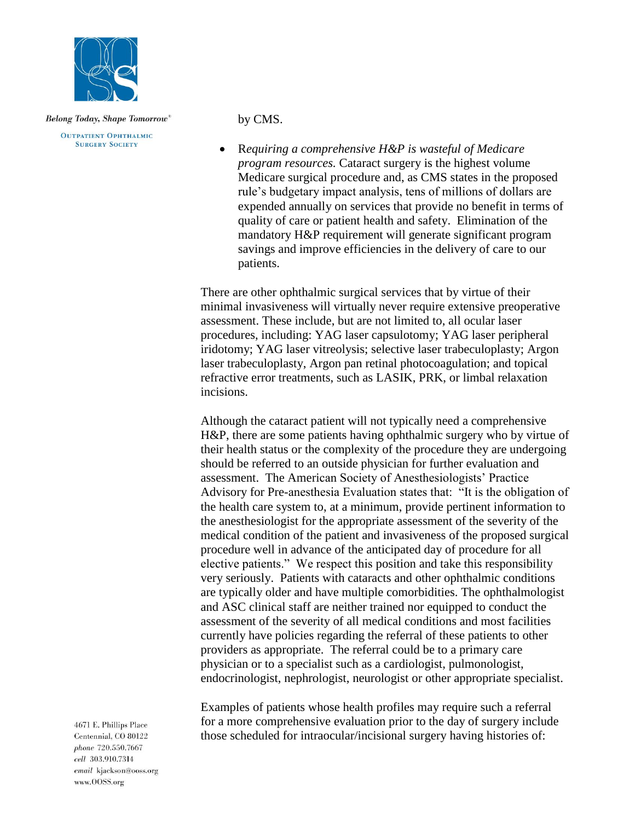

**OUTPATIENT OPHTHALMIC SURGERY SOCIETY** 

### by CMS.

• R*equiring a comprehensive H&P is wasteful of Medicare program resources.* Cataract surgery is the highest volume Medicare surgical procedure and, as CMS states in the proposed rule's budgetary impact analysis, tens of millions of dollars are expended annually on services that provide no benefit in terms of quality of care or patient health and safety. Elimination of the mandatory H&P requirement will generate significant program savings and improve efficiencies in the delivery of care to our patients.

There are other ophthalmic surgical services that by virtue of their minimal invasiveness will virtually never require extensive preoperative assessment. These include, but are not limited to, all ocular laser procedures, including: YAG laser capsulotomy; YAG laser peripheral iridotomy; YAG laser vitreolysis; selective laser trabeculoplasty; Argon laser trabeculoplasty, Argon pan retinal photocoagulation; and topical refractive error treatments, such as LASIK, PRK, or limbal relaxation incisions.

Although the cataract patient will not typically need a comprehensive H&P, there are some patients having ophthalmic surgery who by virtue of their health status or the complexity of the procedure they are undergoing should be referred to an outside physician for further evaluation and assessment. The American Society of Anesthesiologists' Practice Advisory for Pre-anesthesia Evaluation states that: "It is the obligation of the health care system to, at a minimum, provide pertinent information to the anesthesiologist for the appropriate assessment of the severity of the medical condition of the patient and invasiveness of the proposed surgical procedure well in advance of the anticipated day of procedure for all elective patients." We respect this position and take this responsibility very seriously. Patients with cataracts and other ophthalmic conditions are typically older and have multiple comorbidities. The ophthalmologist and ASC clinical staff are neither trained nor equipped to conduct the assessment of the severity of all medical conditions and most facilities currently have policies regarding the referral of these patients to other providers as appropriate. The referral could be to a primary care physician or to a specialist such as a cardiologist, pulmonologist, endocrinologist, nephrologist, neurologist or other appropriate specialist.

Examples of patients whose health profiles may require such a referral for a more comprehensive evaluation prior to the day of surgery include those scheduled for intraocular/incisional surgery having histories of: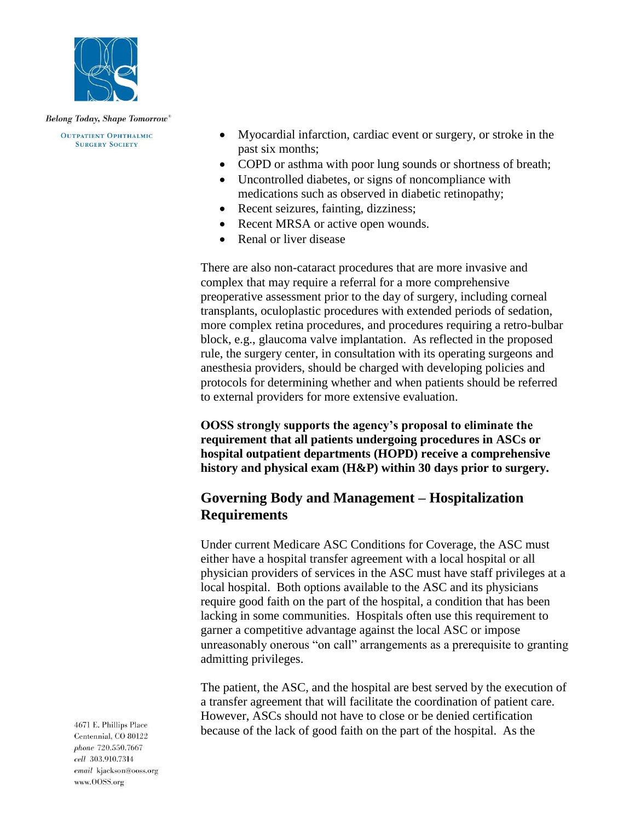

**OUTPATIENT OPHTHALMIC SURGERY SOCIETY** 

- Myocardial infarction, cardiac event or surgery, or stroke in the past six months;
- COPD or asthma with poor lung sounds or shortness of breath;
- Uncontrolled diabetes, or signs of noncompliance with medications such as observed in diabetic retinopathy;
- Recent seizures, fainting, dizziness;
- Recent MRSA or active open wounds.
- Renal or liver disease

There are also non-cataract procedures that are more invasive and complex that may require a referral for a more comprehensive preoperative assessment prior to the day of surgery, including corneal transplants, oculoplastic procedures with extended periods of sedation, more complex retina procedures, and procedures requiring a retro-bulbar block, e.g., glaucoma valve implantation. As reflected in the proposed rule, the surgery center, in consultation with its operating surgeons and anesthesia providers, should be charged with developing policies and protocols for determining whether and when patients should be referred to external providers for more extensive evaluation.

**OOSS strongly supports the agency's proposal to eliminate the requirement that all patients undergoing procedures in ASCs or hospital outpatient departments (HOPD) receive a comprehensive history and physical exam (H&P) within 30 days prior to surgery.** 

# **Governing Body and Management – Hospitalization Requirements**

Under current Medicare ASC Conditions for Coverage, the ASC must either have a hospital transfer agreement with a local hospital or all physician providers of services in the ASC must have staff privileges at a local hospital. Both options available to the ASC and its physicians require good faith on the part of the hospital, a condition that has been lacking in some communities. Hospitals often use this requirement to garner a competitive advantage against the local ASC or impose unreasonably onerous "on call" arrangements as a prerequisite to granting admitting privileges.

The patient, the ASC, and the hospital are best served by the execution of a transfer agreement that will facilitate the coordination of patient care. However, ASCs should not have to close or be denied certification because of the lack of good faith on the part of the hospital. As the